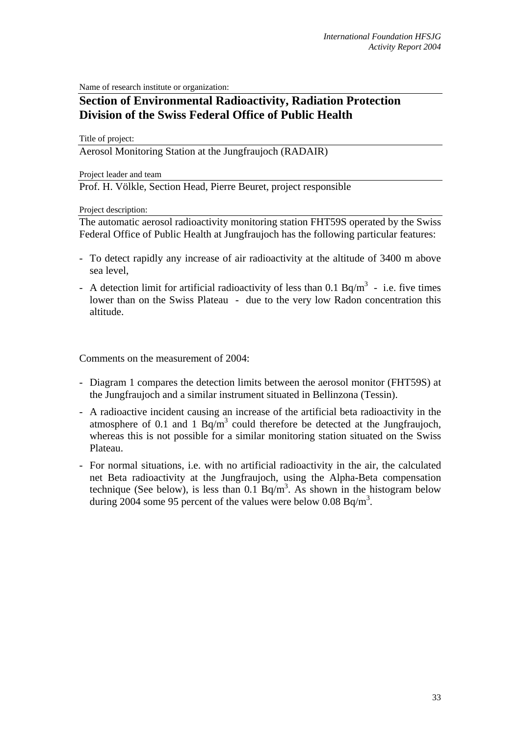Name of research institute or organization:

## **Section of Environmental Radioactivity, Radiation Protection Division of the Swiss Federal Office of Public Health**

Title of project:

Aerosol Monitoring Station at the Jungfraujoch (RADAIR)

Project leader and team

Prof. H. Völkle, Section Head, Pierre Beuret, project responsible

Project description:

The automatic aerosol radioactivity monitoring station FHT59S operated by the Swiss Federal Office of Public Health at Jungfraujoch has the following particular features:

- To detect rapidly any increase of air radioactivity at the altitude of 3400 m above sea level,
- A detection limit for artificial radioactivity of less than 0.1 Bq/m<sup>3</sup> i.e. five times lower than on the Swiss Plateau - due to the very low Radon concentration this altitude.

Comments on the measurement of 2004:

- Diagram 1 compares the detection limits between the aerosol monitor (FHT59S) at the Jungfraujoch and a similar instrument situated in Bellinzona (Tessin).
- A radioactive incident causing an increase of the artificial beta radioactivity in the atmosphere of 0.1 and 1  $Bq/m<sup>3</sup>$  could therefore be detected at the Jungfraujoch, whereas this is not possible for a similar monitoring station situated on the Swiss Plateau.
- For normal situations, i.e. with no artificial radioactivity in the air, the calculated net Beta radioactivity at the Jungfraujoch, using the Alpha-Beta compensation technique (See below), is less than  $0.1$  Bq/m<sup>3</sup>. As shown in the histogram below during 2004 some 95 percent of the values were below 0.08 Bq/m<sup>3</sup>.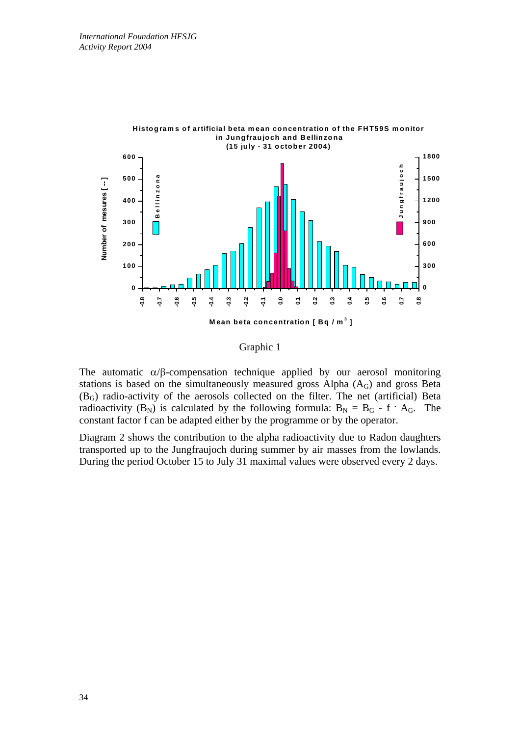

Graphic 1

The automatic  $\alpha/\beta$ -compensation technique applied by our aerosol monitoring stations is based on the simultaneously measured gross Alpha  $(A_G)$  and gross Beta (BG) radio-activity of the aerosols collected on the filter. The net (artificial) Beta radioactivity  $(B_N)$  is calculated by the following formula:  $B_N = B_G - f \cdot A_G$ . The constant factor f can be adapted either by the programme or by the operator.

Diagram 2 shows the contribution to the alpha radioactivity due to Radon daughters transported up to the Jungfraujoch during summer by air masses from the lowlands. During the period October 15 to July 31 maximal values were observed every 2 days.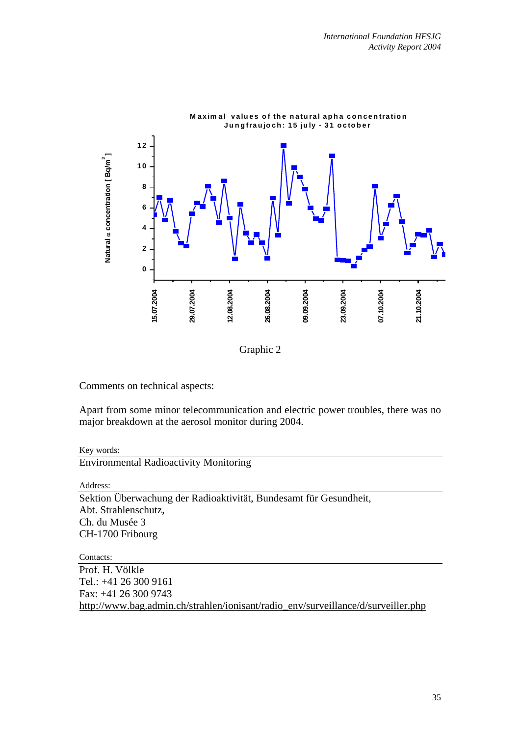

Graphic 2

Comments on technical aspects:

Apart from some minor telecommunication and electric power troubles, there was no major breakdown at the aerosol monitor during 2004.

## Key words:

Environmental Radioactivity Monitoring

Address:

Sektion Überwachung der Radioaktivität, Bundesamt für Gesundheit, Abt. Strahlenschutz, Ch. du Musée 3 CH-1700 Fribourg

Contacts:

Prof. H. Völkle Tel.: +41 26 300 9161 Fax: +41 26 300 9743 http://www.bag.admin.ch/strahlen/ionisant/radio\_env/surveillance/d/surveiller.php